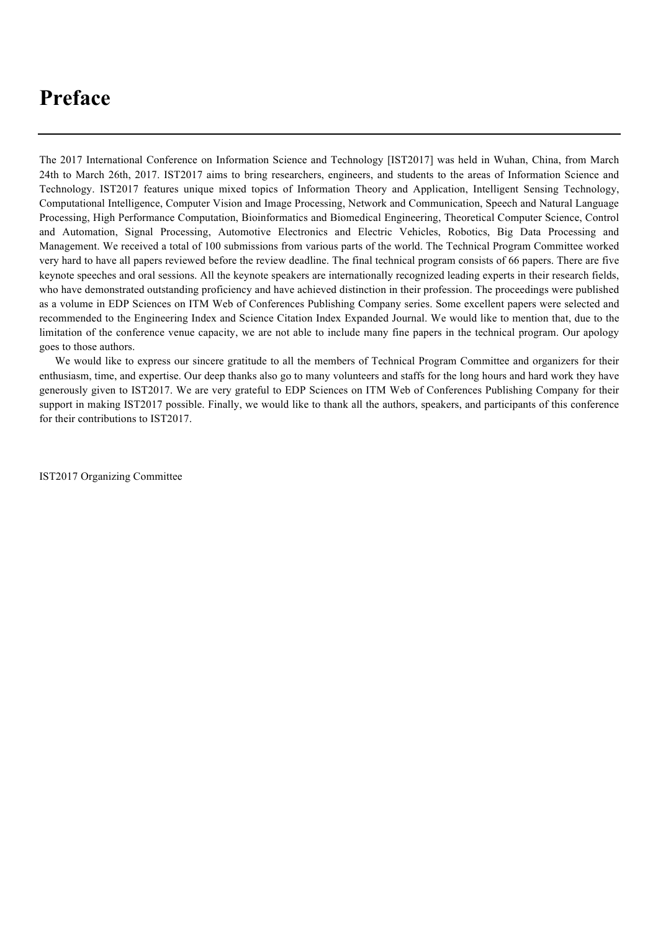# **Preface**

The 2017 International Conference on Information Science and Technology [IST2017] was held in Wuhan, China, from March 24th to March 26th, 2017. IST2017 aims to bring researchers, engineers, and students to the areas of Information Science and Technology. IST2017 features unique mixed topics of Information Theory and Application, Intelligent Sensing Technology, Computational Intelligence, Computer Vision and Image Processing, Network and Communication, Speech and Natural Language Processing, High Performance Computation, Bioinformatics and Biomedical Engineering, Theoretical Computer Science, Control and Automation, Signal Processing, Automotive Electronics and Electric Vehicles, Robotics, Big Data Processing and Management. We received a total of 100 submissions from various parts of the world. The Technical Program Committee worked very hard to have all papers reviewed before the review deadline. The final technical program consists of 66 papers. There are five keynote speeches and oral sessions. All the keynote speakers are internationally recognized leading experts in their research fields, who have demonstrated outstanding proficiency and have achieved distinction in their profession. The proceedings were published as a volume in EDP Sciences on ITM Web of Conferences Publishing Company series. Some excellent papers were selected and recommended to the Engineering Index and Science Citation Index Expanded Journal. We would like to mention that, due to the limitation of the conference venue capacity, we are not able to include many fine papers in the technical program. Our apology goes to those authors.

We would like to express our sincere gratitude to all the members of Technical Program Committee and organizers for their enthusiasm, time, and expertise. Our deep thanks also go to many volunteers and staffs for the long hours and hard work they have generously given to IST2017. We are very grateful to EDP Sciences on ITM Web of Conferences Publishing Company for their support in making IST2017 possible. Finally, we would like to thank all the authors, speakers, and participants of this conference for their contributions to IST2017.

IST2017 Organizing Committee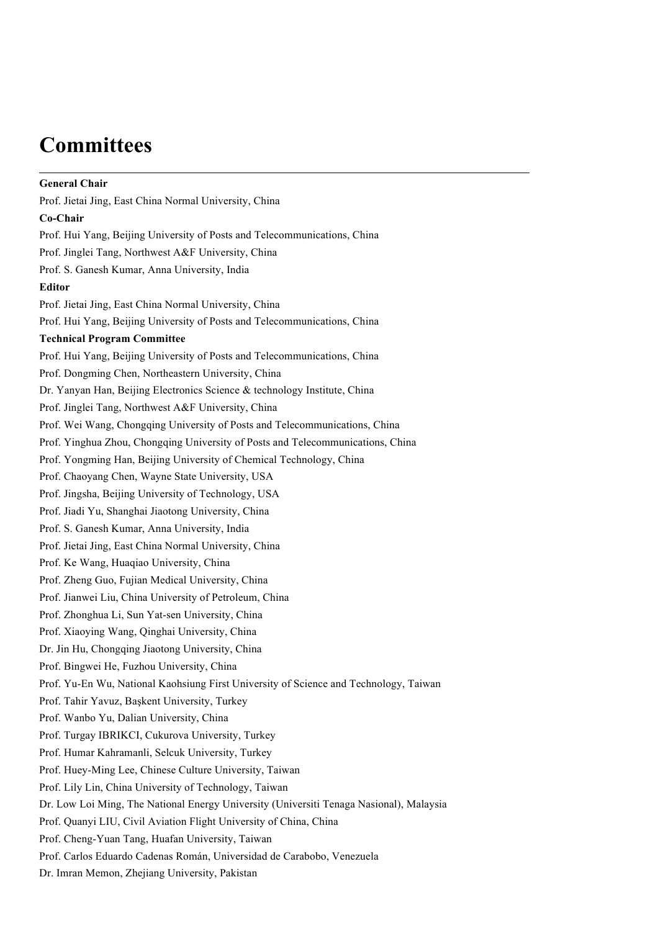# **Committees**

**General Chair** Prof. Jietai Jing, East China Normal University, China **Co-Chair** Prof. Hui Yang, Beijing University of Posts and Telecommunications, China Prof. Jinglei Tang, Northwest A&F University, China Prof. S. Ganesh Kumar, Anna University, India **Editor** Prof. Jietai Jing, East China Normal University, China Prof. Hui Yang, Beijing University of Posts and Telecommunications, China **Technical Program Committee** Prof. Hui Yang, Beijing University of Posts and Telecommunications, China Prof. Dongming Chen, Northeastern University, China Dr. Yanyan Han, Beijing Electronics Science & technology Institute, China Prof. Jinglei Tang, Northwest A&F University, China Prof. Wei Wang, Chongqing University of Posts and Telecommunications, China Prof. Yinghua Zhou, Chongqing University of Posts and Telecommunications, China Prof. Yongming Han, Beijing University of Chemical Technology, China Prof. Chaoyang Chen, Wayne State University, USA Prof. Jingsha, Beijing University of Technology, USA Prof. Jiadi Yu, Shanghai Jiaotong University, China Prof. S. Ganesh Kumar, Anna University, India Prof. Jietai Jing, East China Normal University, China Prof. Ke Wang, Huaqiao University, China Prof. Zheng Guo, Fujian Medical University, China Prof. Jianwei Liu, China University of Petroleum, China Prof. Zhonghua Li, Sun Yat-sen University, China Prof. Xiaoying Wang, Qinghai University, China Dr. Jin Hu, Chongqing Jiaotong University, China Prof. Bingwei He, Fuzhou University, China Prof. Yu-En Wu, National Kaohsiung First University of Science and Technology, Taiwan Prof. Tahir Yavuz, Başkent University, Turkey Prof. Wanbo Yu, Dalian University, China Prof. Turgay IBRIKCI, Cukurova University, Turkey Prof. Humar Kahramanli, Selcuk University, Turkey Prof. Huey-Ming Lee, Chinese Culture University, Taiwan Prof. Lily Lin, China University of Technology, Taiwan Dr. Low Loi Ming, The National Energy University (Universiti Tenaga Nasional), Malaysia Prof. Quanyi LIU, Civil Aviation Flight University of China, China Prof. Cheng-Yuan Tang, Huafan University, Taiwan Prof. Carlos Eduardo Cadenas Román, Universidad de Carabobo, Venezuela Dr. Imran Memon, Zhejiang University, Pakistan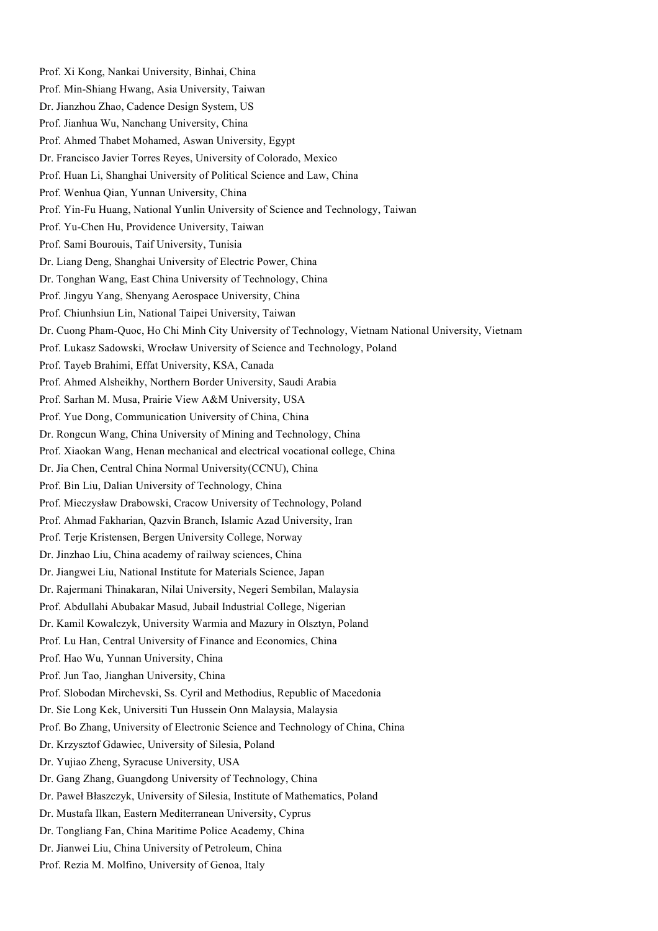Prof. Xi Kong, Nankai University, Binhai, China Prof. Min-Shiang Hwang, Asia University, Taiwan Dr. Jianzhou Zhao, Cadence Design System, US Prof. Jianhua Wu, Nanchang University, China Prof. Ahmed Thabet Mohamed, Aswan University, Egypt Dr. Francisco Javier Torres Reyes, University of Colorado, Mexico Prof. Huan Li, Shanghai University of Political Science and Law, China Prof. Wenhua Qian, Yunnan University, China Prof. Yin-Fu Huang, National Yunlin University of Science and Technology, Taiwan Prof. Yu-Chen Hu, Providence University, Taiwan Prof. Sami Bourouis, Taif University, Tunisia Dr. Liang Deng, Shanghai University of Electric Power, China Dr. Tonghan Wang, East China University of Technology, China Prof. Jingyu Yang, Shenyang Aerospace University, China Prof. Chiunhsiun Lin, National Taipei University, Taiwan Dr. Cuong Pham-Quoc, Ho Chi Minh City University of Technology, Vietnam National University, Vietnam Prof. Lukasz Sadowski, Wrocław University of Science and Technology, Poland Prof. Tayeb Brahimi, Effat University, KSA, Canada Prof. Ahmed Alsheikhy, Northern Border University, Saudi Arabia Prof. Sarhan M. Musa, Prairie View A&M University, USA Prof. Yue Dong, Communication University of China, China Dr. Rongcun Wang, China University of Mining and Technology, China Prof. Xiaokan Wang, Henan mechanical and electrical vocational college, China Dr. Jia Chen, Central China Normal University(CCNU), China Prof. Bin Liu, Dalian University of Technology, China Prof. Mieczysław Drabowski, Cracow University of Technology, Poland Prof. Ahmad Fakharian, Qazvin Branch, Islamic Azad University, Iran Prof. Terje Kristensen, Bergen University College, Norway Dr. Jinzhao Liu, China academy of railway sciences, China Dr. Jiangwei Liu, National Institute for Materials Science, Japan Dr. Rajermani Thinakaran, Nilai University, Negeri Sembilan, Malaysia Prof. Abdullahi Abubakar Masud, Jubail Industrial College, Nigerian Dr. Kamil Kowalczyk, University Warmia and Mazury in Olsztyn, Poland Prof. Lu Han, Central University of Finance and Economics, China Prof. Hao Wu, Yunnan University, China Prof. Jun Tao, Jianghan University, China Prof. Slobodan Mirchevski, Ss. Cyril and Methodius, Republic of Macedonia Dr. Sie Long Kek, Universiti Tun Hussein Onn Malaysia, Malaysia Prof. Bo Zhang, University of Electronic Science and Technology of China, China Dr. Krzysztof Gdawiec, University of Silesia, Poland Dr. Yujiao Zheng, Syracuse University, USA Dr. Gang Zhang, Guangdong University of Technology, China Dr. Paweł Błaszczyk, University of Silesia, Institute of Mathematics, Poland Dr. Mustafa Ilkan, Eastern Mediterranean University, Cyprus Dr. Tongliang Fan, China Maritime Police Academy, China Dr. Jianwei Liu, China University of Petroleum, China Prof. Rezia M. Molfino, University of Genoa, Italy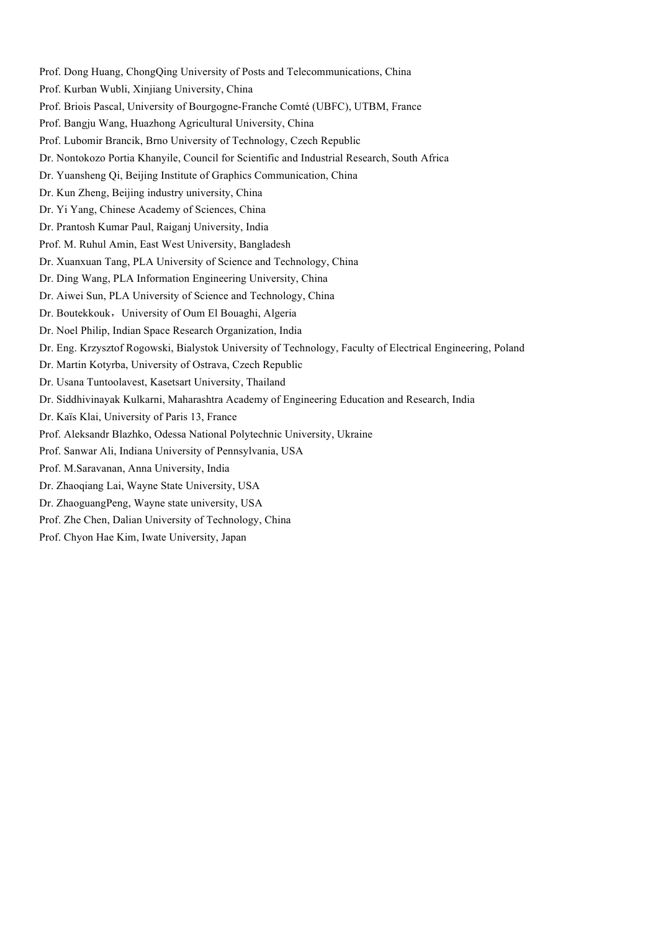Prof. Dong Huang, ChongQing University of Posts and Telecommunications, China Prof. Kurban Wubli, Xinjiang University, China Prof. Briois Pascal, University of Bourgogne-Franche Comté (UBFC), UTBM, France Prof. Bangju Wang, Huazhong Agricultural University, China Prof. Lubomir Brancik, Brno University of Technology, Czech Republic Dr. Nontokozo Portia Khanyile, Council for Scientific and Industrial Research, South Africa Dr. Yuansheng Qi, Beijing Institute of Graphics Communication, China Dr. Kun Zheng, Beijing industry university, China Dr. Yi Yang, Chinese Academy of Sciences, China Dr. Prantosh Kumar Paul, Raiganj University, India Prof. M. Ruhul Amin, East West University, Bangladesh Dr. Xuanxuan Tang, PLA University of Science and Technology, China Dr. Ding Wang, PLA Information Engineering University, China Dr. Aiwei Sun, PLA University of Science and Technology, China Dr. Boutekkouk, University of Oum El Bouaghi, Algeria Dr. Noel Philip, Indian Space Research Organization, India Dr. Eng. Krzysztof Rogowski, Bialystok University of Technology, Faculty of Electrical Engineering, Poland Dr. Martin Kotyrba, University of Ostrava, Czech Republic Dr. Usana Tuntoolavest, Kasetsart University, Thailand Dr. Siddhivinayak Kulkarni, Maharashtra Academy of Engineering Education and Research, India Dr. Kaïs Klai, University of Paris 13, France Prof. Aleksandr Blazhko, Odessa National Polytechnic University, Ukraine Prof. Sanwar Ali, Indiana University of Pennsylvania, USA Prof. M.Saravanan, Anna University, India Dr. Zhaoqiang Lai, Wayne State University, USA Dr. ZhaoguangPeng, Wayne state university, USA Prof. Zhe Chen, Dalian University of Technology, China Prof. Chyon Hae Kim, Iwate University, Japan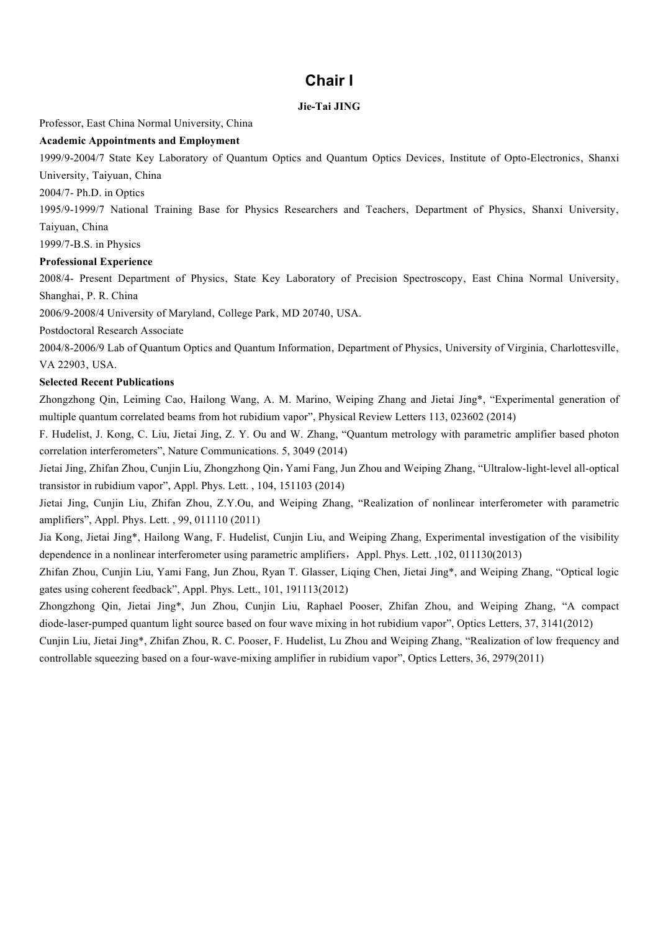# **Chair І**

### **Jie-Tai JING**

Professor, East China Normal University, China

## **Academic Appointments and Employment**

1999/9-2004/7 State Key Laboratory of Quantum Optics and Quantum Optics Devices' Institute of Opto-Electronics' Shanxi University, Taiyuan, China

2004/7- Ph.D. in Optics

1995/9-1999/7 National Training Base for Physics Researchers and Teachers, Department of Physics, Shanxi University, Taiyuan, China

1999/7-B.S. in Physics

### **Professional Experience**

2008/4- Present Department of Physics, State Key Laboratory of Precision Spectroscopy, East China Normal University, Shanghai, P. R. China

2006/9-2008/4 University of Maryland, College Park, MD 20740, USA.

Postdoctoral Research Associate

2004/8-2006/9 Lab of Quantum Optics and Quantum Information, Department of Physics, University of Virginia, Charlottesville, VA 22903, USA.

#### **Selected Recent Publications**

Zhongzhong Qin, Leiming Cao, Hailong Wang, A. M. Marino, Weiping Zhang and Jietai Jing\*, "Experimental generation of multiple quantum correlated beams from hot rubidium vapor", Physical Review Letters 113, 023602 (2014)

F. Hudelist, J. Kong, C. Liu, Jietai Jing, Z. Y. Ou and W. Zhang, "Quantum metrology with parametric amplifier based photon correlation interferometers", Nature Communications. 5, 3049 (2014)

Jietai Jing, Zhifan Zhou, Cunjin Liu, Zhongzhong Qin,Yami Fang, Jun Zhou and Weiping Zhang, "Ultralow-light-level all-optical transistor in rubidium vapor", Appl. Phys. Lett. , 104, 151103 (2014)

Jietai Jing, Cunjin Liu, Zhifan Zhou, Z.Y.Ou, and Weiping Zhang, "Realization of nonlinear interferometer with parametric amplifiers", Appl. Phys. Lett. , 99, 011110 (2011)

Jia Kong, Jietai Jing\*, Hailong Wang, F. Hudelist, Cunjin Liu, and Weiping Zhang, Experimental investigation of the visibility dependence in a nonlinear interferometer using parametric amplifiers, Appl. Phys. Lett. ,102, 011130(2013)

Zhifan Zhou, Cunjin Liu, Yami Fang, Jun Zhou, Ryan T. Glasser, Liqing Chen, Jietai Jing\*, and Weiping Zhang, "Optical logic gates using coherent feedback", Appl. Phys. Lett., 101, 191113(2012)

Zhongzhong Qin, Jietai Jing\*, Jun Zhou, Cunjin Liu, Raphael Pooser, Zhifan Zhou, and Weiping Zhang, "A compact diode-laser-pumped quantum light source based on four wave mixing in hot rubidium vapor", Optics Letters, 37, 3141(2012) Cunjin Liu, Jietai Jing\*, Zhifan Zhou, R. C. Pooser, F. Hudelist, Lu Zhou and Weiping Zhang, "Realization of low frequency and

controllable squeezing based on a four-wave-mixing amplifier in rubidium vapor", Optics Letters, 36, 2979(2011)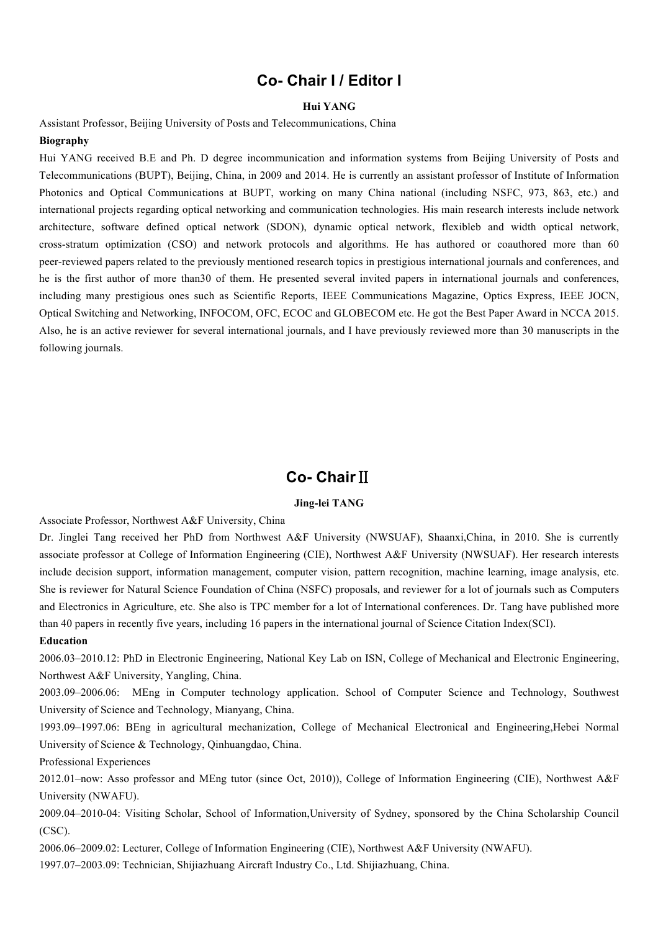# **Co- Chair І / Editor І**

#### **Hui YANG**

Assistant Professor, Beijing University of Posts and Telecommunications, China

#### **Biography**

Hui YANG received B.E and Ph. D degree incommunication and information systems from Beijing University of Posts and Telecommunications (BUPT), Beijing, China, in 2009 and 2014. He is currently an assistant professor of Institute of Information Photonics and Optical Communications at BUPT, working on many China national (including NSFC, 973, 863, etc.) and international projects regarding optical networking and communication technologies. His main research interests include network architecture, software defined optical network (SDON), dynamic optical network, flexibleb and width optical network, cross-stratum optimization (CSO) and network protocols and algorithms. He has authored or coauthored more than 60 peer-reviewed papers related to the previously mentioned research topics in prestigious international journals and conferences, and he is the first author of more than30 of them. He presented several invited papers in international journals and conferences, including many prestigious ones such as Scientific Reports, IEEE Communications Magazine, Optics Express, IEEE JOCN, Optical Switching and Networking, INFOCOM, OFC, ECOC and GLOBECOM etc. He got the Best Paper Award in NCCA 2015. Also, he is an active reviewer for several international journals, and I have previously reviewed more than 30 manuscripts in the following journals.

# **Co- Chair**Ⅱ

## **Jing-lei TANG**

Associate Professor, Northwest A&F University, China

Dr. Jinglei Tang received her PhD from Northwest A&F University (NWSUAF), Shaanxi,China, in 2010. She is currently associate professor at College of Information Engineering (CIE), Northwest A&F University (NWSUAF). Her research interests include decision support, information management, computer vision, pattern recognition, machine learning, image analysis, etc. She is reviewer for Natural Science Foundation of China (NSFC) proposals, and reviewer for a lot of journals such as Computers and Electronics in Agriculture, etc. She also is TPC member for a lot of International conferences. Dr. Tang have published more than 40 papers in recently five years, including 16 papers in the international journal of Science Citation Index(SCI).

#### **Education**

2006.03–2010.12: PhD in Electronic Engineering, National Key Lab on ISN, College of Mechanical and Electronic Engineering, Northwest A&F University, Yangling, China.

2003.09–2006.06: MEng in Computer technology application. School of Computer Science and Technology, Southwest University of Science and Technology, Mianyang, China.

1993.09–1997.06: BEng in agricultural mechanization, College of Mechanical Electronical and Engineering,Hebei Normal University of Science & Technology, Qinhuangdao, China.

Professional Experiences

2012.01–now: Asso professor and MEng tutor (since Oct, 2010)), College of Information Engineering (CIE), Northwest A&F University (NWAFU).

2009.04–2010-04: Visiting Scholar, School of Information,University of Sydney, sponsored by the China Scholarship Council (CSC).

2006.06–2009.02: Lecturer, College of Information Engineering (CIE), Northwest A&F University (NWAFU). 1997.07–2003.09: Technician, Shijiazhuang Aircraft Industry Co., Ltd. Shijiazhuang, China.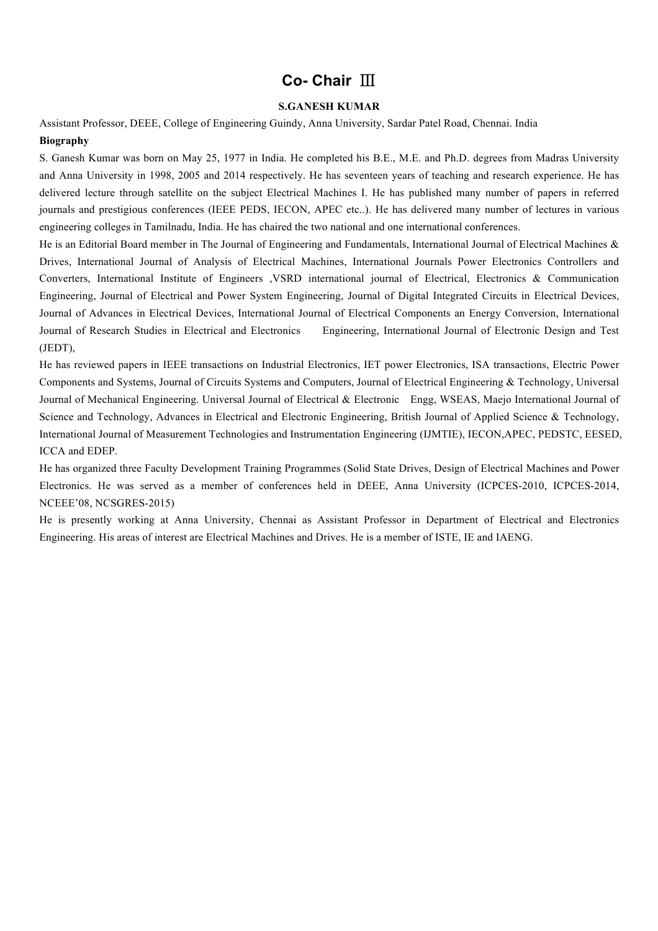# **Co- Chair** Ⅲ

## **S.GANESH KUMAR**

Assistant Professor, DEEE, College of Engineering Guindy, Anna University, Sardar Patel Road, Chennai. India **Biography**

S. Ganesh Kumar was born on May 25, 1977 in India. He completed his B.E., M.E. and Ph.D. degrees from Madras University and Anna University in 1998, 2005 and 2014 respectively. He has seventeen years of teaching and research experience. He has delivered lecture through satellite on the subject Electrical Machines I. He has published many number of papers in referred journals and prestigious conferences (IEEE PEDS, IECON, APEC etc..). He has delivered many number of lectures in various engineering colleges in Tamilnadu, India. He has chaired the two national and one international conferences.

He is an Editorial Board member in The Journal of Engineering and Fundamentals, International Journal of Electrical Machines & Drives, International Journal of Analysis of Electrical Machines, International Journals Power Electronics Controllers and Converters, International Institute of Engineers ,VSRD international journal of Electrical, Electronics & Communication Engineering, Journal of Electrical and Power System Engineering, Journal of Digital Integrated Circuits in Electrical Devices, Journal of Advances in Electrical Devices, International Journal of Electrical Components an Energy Conversion, International Journal of Research Studies in Electrical and Electronics Engineering, International Journal of Electronic Design and Test (JEDT),

He has reviewed papers in IEEE transactions on Industrial Electronics, IET power Electronics, ISA transactions, Electric Power Components and Systems, Journal of Circuits Systems and Computers, Journal of Electrical Engineering & Technology, Universal Journal of Mechanical Engineering. Universal Journal of Electrical & Electronic Engg, WSEAS, Maejo International Journal of Science and Technology, Advances in Electrical and Electronic Engineering, British Journal of Applied Science & Technology, International Journal of Measurement Technologies and Instrumentation Engineering (IJMTIE), IECON,APEC, PEDSTC, EESED, ICCA and EDEP.

He has organized three Faculty Development Training Programmes (Solid State Drives, Design of Electrical Machines and Power Electronics. He was served as a member of conferences held in DEEE, Anna University (ICPCES-2010, ICPCES-2014, NCEEE'08, NCSGRES-2015)

He is presently working at Anna University, Chennai as Assistant Professor in Department of Electrical and Electronics Engineering. His areas of interest are Electrical Machines and Drives. He is a member of ISTE, IE and IAENG.